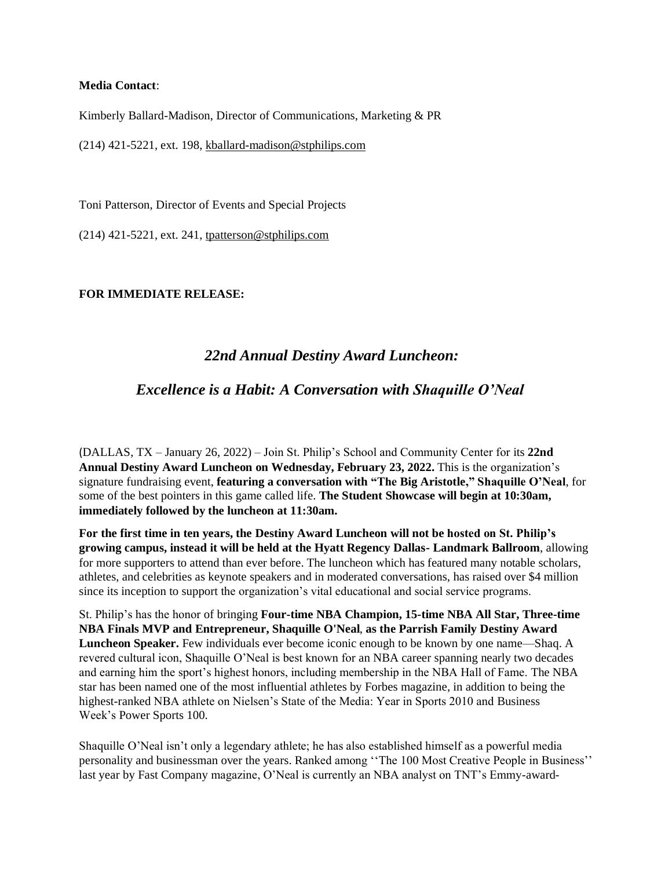### **Media Contact**:

Kimberly Ballard-Madison, Director of Communications, Marketing & PR

(214) 421-5221, ext. 198, [kballard-madison@stphilips.com](mailto:kballard-madison@stphilips.com)

Toni Patterson, Director of Events and Special Projects

(214) 421-5221, ext. 241, [tpatterson@stphilips.com](mailto:tpatterson@stphilips.com)

## **FOR IMMEDIATE RELEASE:**

# *22nd Annual Destiny Award Luncheon:*

# *Excellence is a Habit: A Conversation with Shaquille O'Neal*

(DALLAS, TX – January 26, 2022) – Join St. Philip's School and Community Center for its **22nd Annual Destiny Award Luncheon on Wednesday, February 23, 2022.** This is the organization's signature fundraising event, **featuring a conversation with "The Big Aristotle," Shaquille O'Neal**, for some of the best pointers in this game called life. **The Student Showcase will begin at 10:30am, immediately followed by the luncheon at 11:30am.** 

**For the first time in ten years, the Destiny Award Luncheon will not be hosted on St. Philip's growing campus, instead it will be held at the Hyatt Regency Dallas- Landmark Ballroom**, allowing for more supporters to attend than ever before. The luncheon which has featured many notable scholars, athletes, and celebrities as keynote speakers and in moderated conversations, has raised over \$4 million since its inception to support the organization's vital educational and social service programs.

St. Philip's has the honor of bringing **Four-time NBA Champion, 15-time NBA All Star, Three-time NBA Finals MVP and Entrepreneur, Shaquille O'Neal**, **as the Parrish Family Destiny Award Luncheon Speaker.** Few individuals ever become iconic enough to be known by one name—Shaq. A revered cultural icon, Shaquille O'Neal is best known for an NBA career spanning nearly two decades and earning him the sport's highest honors, including membership in the NBA Hall of Fame. The NBA star has been named one of the most influential athletes by Forbes magazine, in addition to being the highest-ranked NBA athlete on Nielsen's State of the Media: Year in Sports 2010 and Business Week's Power Sports 100.

Shaquille O'Neal isn't only a legendary athlete; he has also established himself as a powerful media personality and businessman over the years. Ranked among ''The 100 Most Creative People in Business'' last year by Fast Company magazine, O'Neal is currently an NBA analyst on TNT's Emmy-award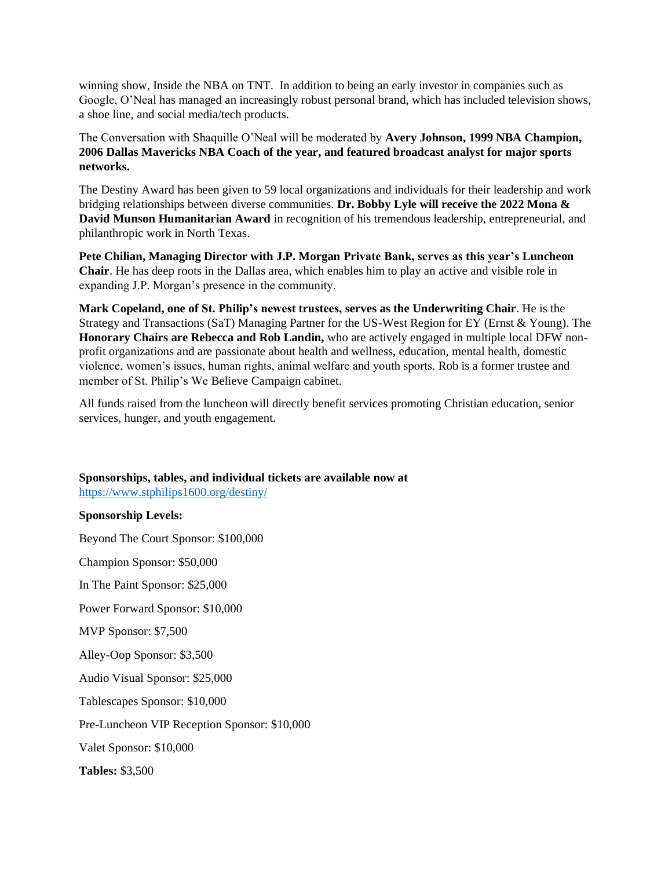winning show, Inside the NBA on TNT. In addition to being an early investor in companies such as Google, O'Neal has managed an increasingly robust personal brand, which has included television shows, a shoe line, and social media/tech products.

The Conversation with Shaquille O'Neal will be moderated by **Avery Johnson, 1999 NBA Champion, 2006 Dallas Mavericks NBA Coach of the year, and featured broadcast analyst for major sports networks.** 

The Destiny Award has been given to 59 local organizations and individuals for their leadership and work bridging relationships between diverse communities. **Dr. Bobby Lyle will receive the 2022 Mona & David Munson Humanitarian Award** in recognition of his tremendous leadership, entrepreneurial, and philanthropic work in North Texas.

**Pete Chilian, Managing Director with J.P. Morgan Private Bank, serves as this year's Luncheon Chair**. He has deep roots in the Dallas area, which enables him to play an active and visible role in expanding J.P. Morgan's presence in the community.

**Mark Copeland, one of St. Philip's newest trustees, serves as the Underwriting Chair**. He is the Strategy and Transactions (SaT) Managing Partner for the US-West Region for EY (Ernst & Young). The **Honorary Chairs are Rebecca and Rob Landin,** who are actively engaged in multiple local DFW nonprofit organizations and are passionate about health and wellness, education, mental health, domestic violence, women's issues, human rights, animal welfare and youth sports. Rob is a former trustee and member of St. Philip's We Believe Campaign cabinet.

All funds raised from the luncheon will directly benefit services promoting Christian education, senior services, hunger, and youth engagement.

## **Sponsorships, tables, and individual tickets are available now at**

<https://www.stphilips1600.org/destiny/>

#### **Sponsorship Levels:**

Beyond The Court Sponsor: \$100,000 Champion Sponsor: \$50,000 In The Paint Sponsor: \$25,000 Power Forward Sponsor: \$10,000 MVP Sponsor: \$7,500 Alley-Oop Sponsor: \$3,500 Audio Visual Sponsor: \$25,000 Tablescapes Sponsor: \$10,000 Pre-Luncheon VIP Reception Sponsor: \$10,000 Valet Sponsor: \$10,000 **Tables:** \$3,500